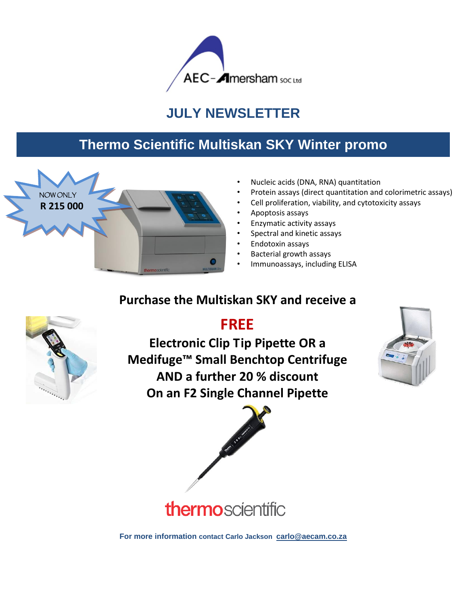

## **JULY NEWSLETTER**

### **Thermo Scientific Multiskan SKY Winter promo**



- Nucleic acids (DNA, RNA) quantitation
- Protein assays (direct quantitation and colorimetric assays)
- Cell proliferation, viability, and cytotoxicity assays
- Apoptosis assays
- Enzymatic activity assays
- Spectral and kinetic assays
- Endotoxin assays
- Bacterial growth assays
- Immunoassays, including ELISA

# **Purchase the Multiskan SKY and receive a**



 **FREE Electronic Clip Tip Pipette OR a Medifuge™ Small Benchtop Centrifuge AND a further 20 % discount On an F2 Single Channel Pipette** 





thermoscientific

**For more information contact Carlo Jackson [carlo@aecam.co.za](mailto:carlo@aecam.co.za)**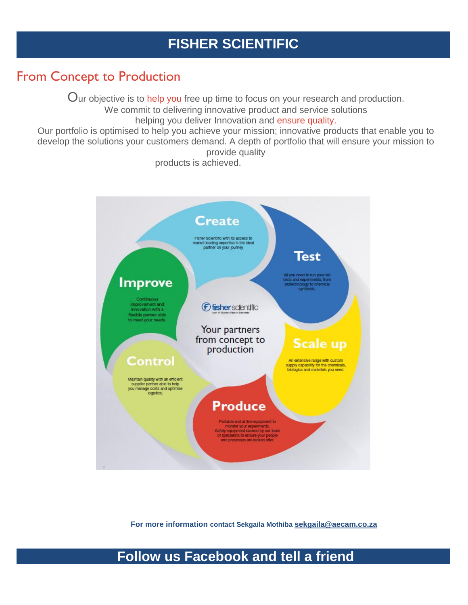#### **FISHER SCIENTIFIC**

#### From Concept to Production

Our objective is to help you free up time to focus on your research and production.

We commit to delivering innovative product and service solutions

helping you deliver Innovation and ensure quality.

Our portfolio is optimised to help you achieve your mission; innovative products that enable you to develop the solutions your customers demand. A depth of portfolio that will ensure your mission to provide quality

products is achieved.



**For more information For more information contact Sekgaila Mothiba [sekgaila@aecam.co.za](mailto:sekgaila@aecam.co.za)**

#### **Follow us Facebook and tell a friend**